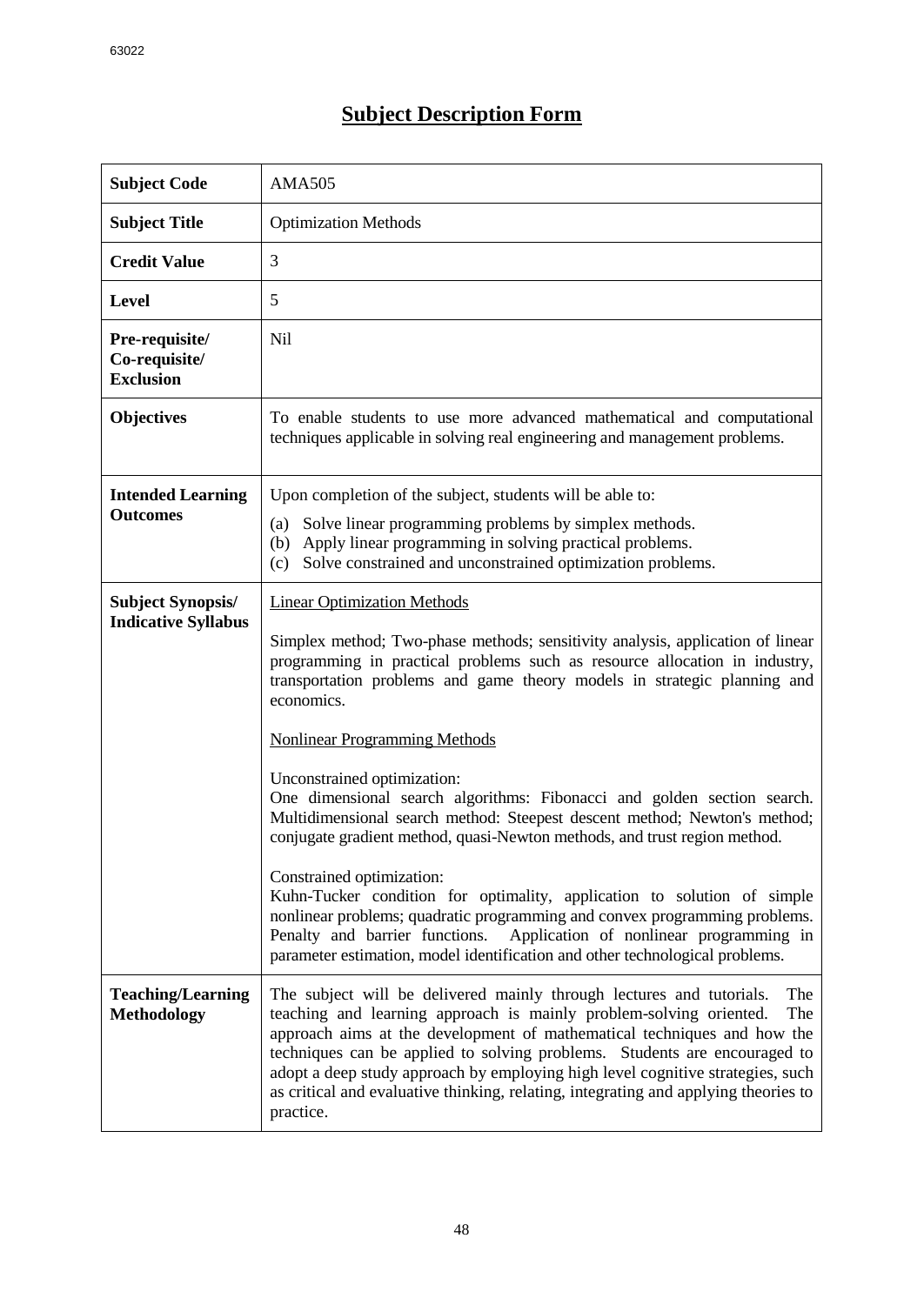## **Subject Description Form**

| <b>Subject Code</b>                                    | <b>AMA505</b>                                                                                                                                                                                                                                                                                                                                                                                                                                                                                                                                                                                                                                                                                                                                                                                                                                                                                                                                               |  |  |  |  |
|--------------------------------------------------------|-------------------------------------------------------------------------------------------------------------------------------------------------------------------------------------------------------------------------------------------------------------------------------------------------------------------------------------------------------------------------------------------------------------------------------------------------------------------------------------------------------------------------------------------------------------------------------------------------------------------------------------------------------------------------------------------------------------------------------------------------------------------------------------------------------------------------------------------------------------------------------------------------------------------------------------------------------------|--|--|--|--|
| <b>Subject Title</b>                                   | <b>Optimization Methods</b>                                                                                                                                                                                                                                                                                                                                                                                                                                                                                                                                                                                                                                                                                                                                                                                                                                                                                                                                 |  |  |  |  |
| <b>Credit Value</b>                                    | 3                                                                                                                                                                                                                                                                                                                                                                                                                                                                                                                                                                                                                                                                                                                                                                                                                                                                                                                                                           |  |  |  |  |
| <b>Level</b>                                           | 5                                                                                                                                                                                                                                                                                                                                                                                                                                                                                                                                                                                                                                                                                                                                                                                                                                                                                                                                                           |  |  |  |  |
| Pre-requisite/<br>Co-requisite/<br><b>Exclusion</b>    | <b>Nil</b>                                                                                                                                                                                                                                                                                                                                                                                                                                                                                                                                                                                                                                                                                                                                                                                                                                                                                                                                                  |  |  |  |  |
| <b>Objectives</b>                                      | To enable students to use more advanced mathematical and computational<br>techniques applicable in solving real engineering and management problems.                                                                                                                                                                                                                                                                                                                                                                                                                                                                                                                                                                                                                                                                                                                                                                                                        |  |  |  |  |
| <b>Intended Learning</b><br><b>Outcomes</b>            | Upon completion of the subject, students will be able to:<br>Solve linear programming problems by simplex methods.<br>(a)<br>Apply linear programming in solving practical problems.<br>(b)<br>Solve constrained and unconstrained optimization problems.<br>(c)                                                                                                                                                                                                                                                                                                                                                                                                                                                                                                                                                                                                                                                                                            |  |  |  |  |
| <b>Subject Synopsis/</b><br><b>Indicative Syllabus</b> | <b>Linear Optimization Methods</b><br>Simplex method; Two-phase methods; sensitivity analysis, application of linear<br>programming in practical problems such as resource allocation in industry,<br>transportation problems and game theory models in strategic planning and<br>economics.<br><b>Nonlinear Programming Methods</b><br>Unconstrained optimization:<br>One dimensional search algorithms: Fibonacci and golden section search.<br>Multidimensional search method: Steepest descent method; Newton's method;<br>conjugate gradient method, quasi-Newton methods, and trust region method.<br>Constrained optimization:<br>Kuhn-Tucker condition for optimality, application to solution of simple<br>nonlinear problems; quadratic programming and convex programming problems.<br>Penalty and barrier functions.<br>Application of nonlinear programming in<br>parameter estimation, model identification and other technological problems. |  |  |  |  |
| <b>Teaching/Learning</b><br><b>Methodology</b>         | The<br>The subject will be delivered mainly through lectures and tutorials.<br>teaching and learning approach is mainly problem-solving oriented.<br>The<br>approach aims at the development of mathematical techniques and how the<br>techniques can be applied to solving problems. Students are encouraged to<br>adopt a deep study approach by employing high level cognitive strategies, such<br>as critical and evaluative thinking, relating, integrating and applying theories to<br>practice.                                                                                                                                                                                                                                                                                                                                                                                                                                                      |  |  |  |  |